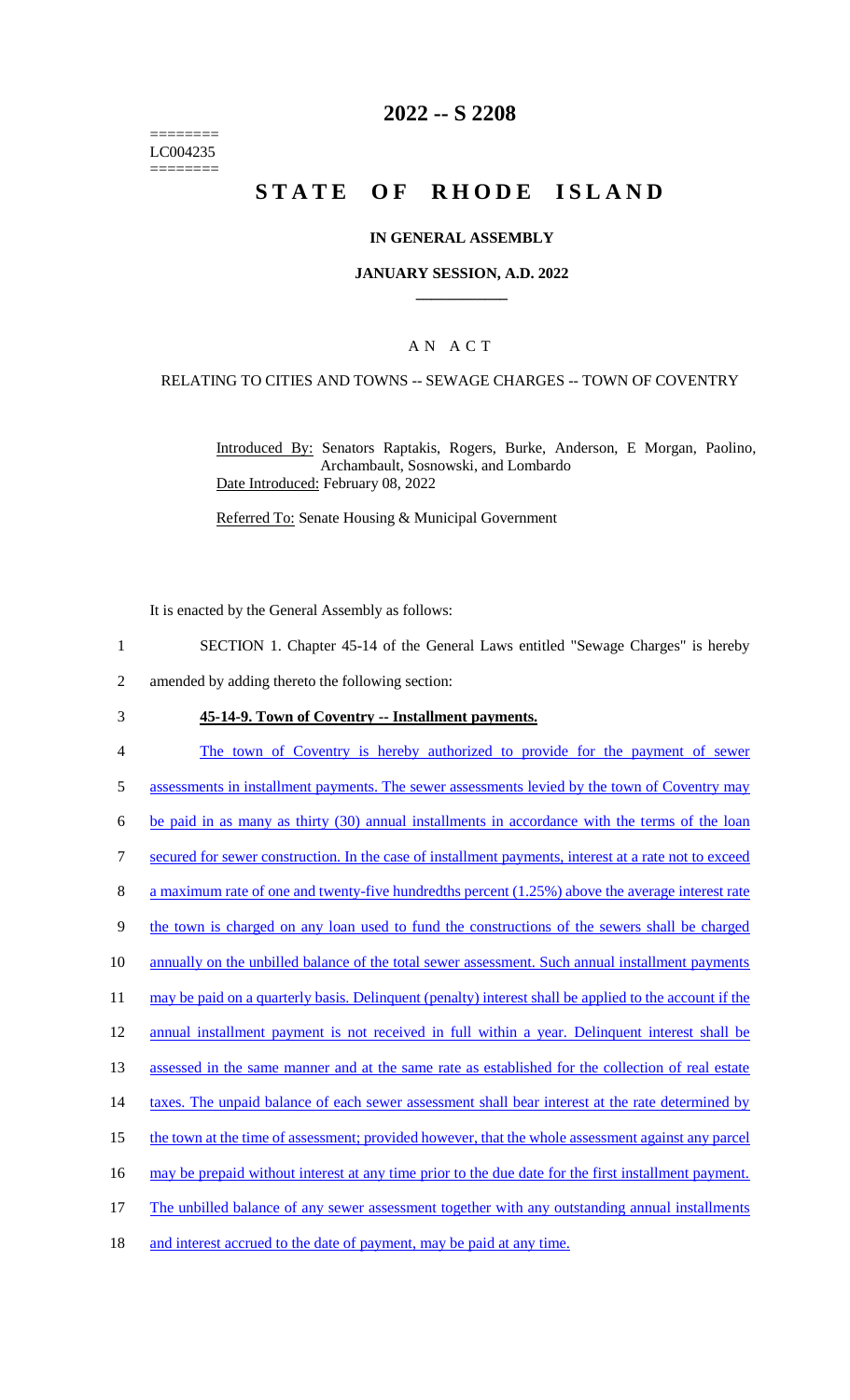======== LC004235 ========

## **2022 -- S 2208**

# **STATE OF RHODE ISLAND**

## **IN GENERAL ASSEMBLY**

## **JANUARY SESSION, A.D. 2022 \_\_\_\_\_\_\_\_\_\_\_\_**

## A N A C T

### RELATING TO CITIES AND TOWNS -- SEWAGE CHARGES -- TOWN OF COVENTRY

Introduced By: Senators Raptakis, Rogers, Burke, Anderson, E Morgan, Paolino, Archambault, Sosnowski, and Lombardo Date Introduced: February 08, 2022

Referred To: Senate Housing & Municipal Government

It is enacted by the General Assembly as follows:

- 1 SECTION 1. Chapter 45-14 of the General Laws entitled "Sewage Charges" is hereby
- 2 amended by adding thereto the following section:

### 3 **45-14-9. Town of Coventry -- Installment payments.**

- 4 The town of Coventry is hereby authorized to provide for the payment of sewer 5 assessments in installment payments. The sewer assessments levied by the town of Coventry may 6 be paid in as many as thirty (30) annual installments in accordance with the terms of the loan 7 secured for sewer construction. In the case of installment payments, interest at a rate not to exceed 8 a maximum rate of one and twenty-five hundredths percent (1.25%) above the average interest rate 9 the town is charged on any loan used to fund the constructions of the sewers shall be charged 10 annually on the unbilled balance of the total sewer assessment. Such annual installment payments 11 may be paid on a quarterly basis. Delinquent (penalty) interest shall be applied to the account if the 12 annual installment payment is not received in full within a year. Delinquent interest shall be 13 assessed in the same manner and at the same rate as established for the collection of real estate 14 taxes. The unpaid balance of each sewer assessment shall bear interest at the rate determined by 15 the town at the time of assessment; provided however, that the whole assessment against any parcel 16 may be prepaid without interest at any time prior to the due date for the first installment payment. 17 The unbilled balance of any sewer assessment together with any outstanding annual installments
- 18 and interest accrued to the date of payment, may be paid at any time.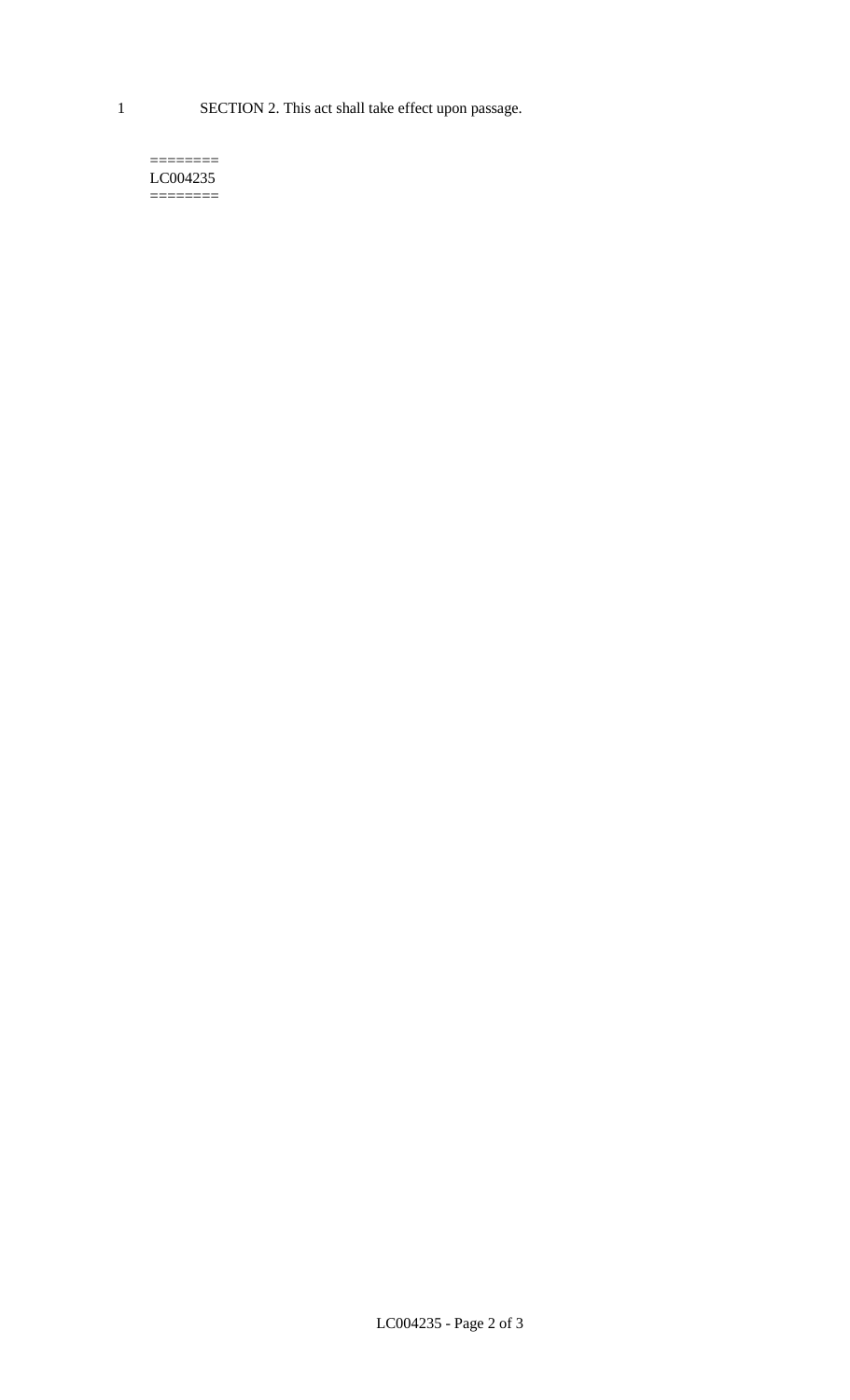1 SECTION 2. This act shall take effect upon passage.

#### $=$ LC004235  $=$